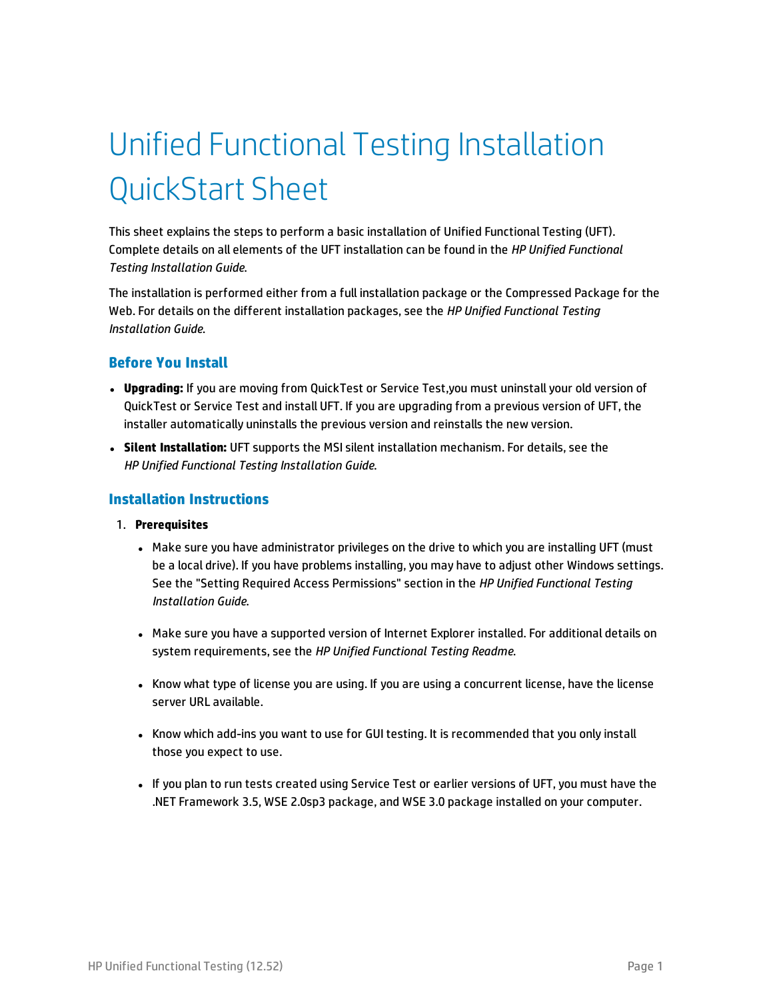# Unified Functional Testing Installation QuickStart Sheet

This sheet explains the steps to perform a basic installation of Unified Functional Testing (UFT). Complete details on all elements of the UFT installation can be found in the *HP Unified Functional Testing Installation Guide*.

The installation is performed either from a full installation package or the Compressed Package for the Web. For details on the different installation packages, see the *HP Unified Functional Testing Installation Guide*.

## **Before You Install**

- **· Upgrading:** If you are moving from QuickTest or Service Test,you must uninstall your old version of QuickTest or Service Test and install UFT. If you are upgrading from a previous version of UFT, the installer automatically uninstalls the previous version and reinstalls the new version.
- <sup>l</sup> **Silent Installation:** UFT supports the MSI silent installation mechanism. For details, see the *HP Unified Functional Testing Installation Guide*.

## **Installation Instructions**

### 1. **Prerequisites**

- Make sure you have administrator privileges on the drive to which you are installing UFT (must be a local drive). If you have problems installing, you may have to adjust other Windows settings. See the "Setting Required Access Permissions" section in the *HP Unified Functional Testing Installation Guide*.
- Make sure you have a supported version of Internet Explorer installed. For additional details on system requirements, see the *HP Unified Functional Testing Readme*.
- Know what type of license you are using. If you are using a concurrent license, have the license server URL available.
- Know which add-ins you want to use for GUI testing. It is recommended that you only install those you expect to use.
- If you plan to run tests created using Service Test or earlier versions of UFT, you must have the .NET Framework 3.5, WSE 2.0sp3 package, and WSE 3.0 package installed on your computer.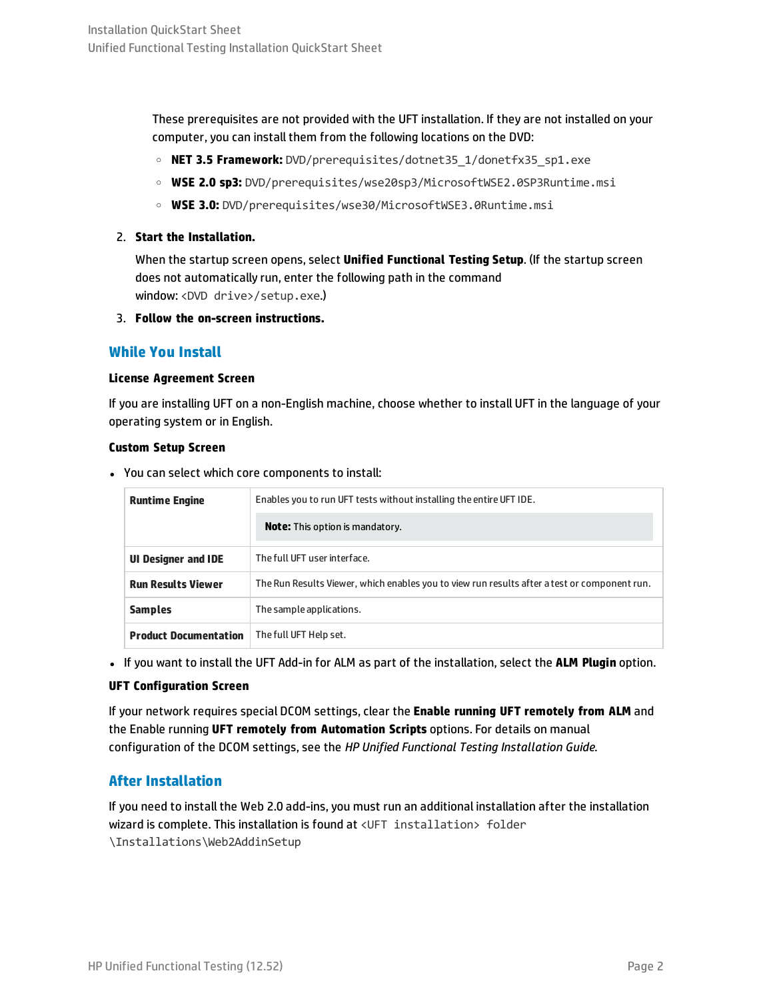These prerequisites are not provided with the UFT installation. If they are not installed on your computer, you can install them from the following locations on the DVD:

- <sup>o</sup> **NET 3.5 Framework:** DVD/prerequisites/dotnet35\_1/donetfx35\_sp1.exe
- <sup>o</sup> **WSE 2.0 sp3:** DVD/prerequisites/wse20sp3/MicrosoftWSE2.0SP3Runtime.msi
- <sup>o</sup> **WSE 3.0:** DVD/prerequisites/wse30/MicrosoftWSE3.0Runtime.msi

## 2. **Start the Installation.**

When the startup screen opens, select **Unified Functional Testing Setup**. (If the startup screen does not automatically run, enter the following path in the command window: <DVD drive>/setup.exe.)

3. **Follow the on-screen instructions.**

## **While You Install**

### **License Agreement Screen**

If you are installing UFT on a non-English machine, choose whether to install UFT in the language of your operating system or in English.

### **Custom Setup Screen**

• You can select which core components to install:

| <b>Runtime Engine</b>        | Enables you to run UFT tests without installing the entire UFT IDE.                          |
|------------------------------|----------------------------------------------------------------------------------------------|
|                              | <b>Note:</b> This option is mandatory.                                                       |
| <b>UI Designer and IDE</b>   | The full UFT user interface.                                                                 |
| <b>Run Results Viewer</b>    | The Run Results Viewer, which enables you to view run results after a test or component run. |
| <b>Samples</b>               | The sample applications.                                                                     |
| <b>Product Documentation</b> | The full UFT Help set.                                                                       |

<sup>l</sup> If you want to install the UFT Add-in for ALM as part of the installation, select the **ALM Plugin** option.

### **UFT Configuration Screen**

If your network requires special DCOM settings, clear the **Enable running UFT remotely from ALM** and the Enable running **UFT remotely from Automation Scripts** options. For details on manual configuration of the DCOM settings, see the *HP Unified Functional Testing Installation Guide*.

## **After Installation**

If you need to install the Web 2.0 add-ins, you must run an additional installation after the installation wizard is complete. This installation is found at <UFT installation> folder \Installations\Web2AddinSetup